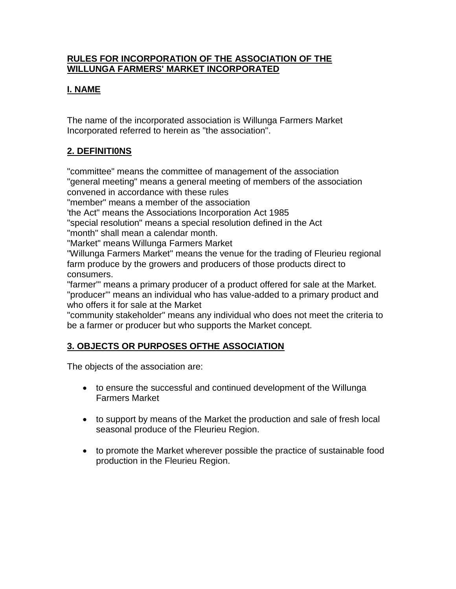## **RULES FOR INCORPORATION OF THE ASSOCIATION OF THE WILLUNGA FARMERS' MARKET INCORPORATED**

# **I. NAME**

The name of the incorporated association is Willunga Farmers Market Incorporated referred to herein as "the association".

# **2. DEFlNITI0NS**

"committee" means the committee of management of the association "general meeting" means a general meeting of members of the association convened in accordance with these rules

"member" means a member of the association

'the Act" means the Associations Incorporation Act 1985

"special resolution" means a special resolution defined in the Act "month" shall mean a calendar month.

"Market" means Willunga Farmers Market

"Willunga Farmers Market" means the venue for the trading of Fleurieu regional farm produce by the growers and producers of those products direct to consumers.

"farmer'" means a primary producer of a product offered for sale at the Market. "producer'" means an individual who has value-added to a primary product and who offers it for sale at the Market

"community stakeholder" means any individual who does not meet the criteria to be a farmer or producer but who supports the Market concept.

# **3. OBJECTS OR PURPOSES OFTHE ASSOCIATION**

The objects of the association are:

- to ensure the successful and continued development of the Willunga Farmers Market
- to support by means of the Market the production and sale of fresh local seasonal produce of the Fleurieu Region.
- to promote the Market wherever possible the practice of sustainable food production in the Fleurieu Region.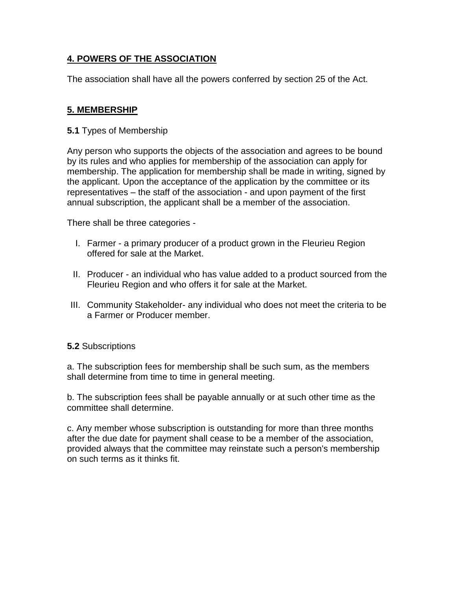## **4. POWERS OF THE ASSOCIATION**

The association shall have all the powers conferred by section 25 of the Act.

## **5. MEMBERSHIP**

**5.1** Types of Membership

Any person who supports the objects of the association and agrees to be bound by its rules and who applies for membership of the association can apply for membership. The application for membership shall be made in writing, signed by the applicant. Upon the acceptance of the application by the committee or its representatives – the staff of the association - and upon payment of the first annual subscription, the applicant shall be a member of the association.

There shall be three categories -

- I. Farmer a primary producer of a product grown in the Fleurieu Region offered for sale at the Market.
- II. Producer an individual who has value added to a product sourced from the Fleurieu Region and who offers it for sale at the Market.
- III. Community Stakeholder- any individual who does not meet the criteria to be a Farmer or Producer member.

## **5.2** Subscriptions

a. The subscription fees for membership shall be such sum, as the members shall determine from time to time in general meeting.

b. The subscription fees shall be payable annually or at such other time as the committee shall determine.

c. Any member whose subscription is outstanding for more than three months after the due date for payment shall cease to be a member of the association, provided always that the committee may reinstate such a person's membership on such terms as it thinks fit.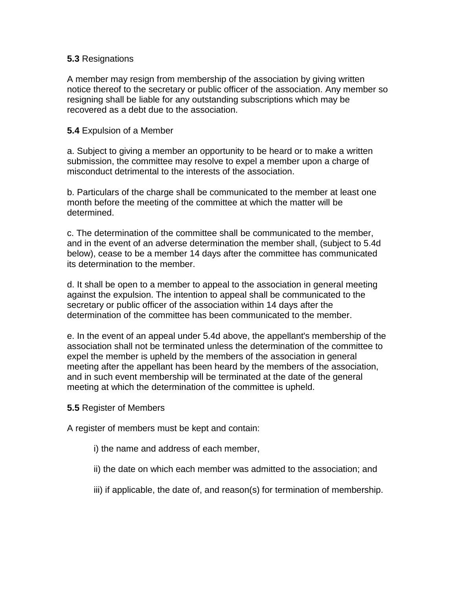#### **5.3** Resignations

A member may resign from membership of the association by giving written notice thereof to the secretary or public officer of the association. Any member so resigning shall be liable for any outstanding subscriptions which may be recovered as a debt due to the association.

#### **5.4** Expulsion of a Member

a. Subject to giving a member an opportunity to be heard or to make a written submission, the committee may resolve to expel a member upon a charge of misconduct detrimental to the interests of the association.

b. Particulars of the charge shall be communicated to the member at least one month before the meeting of the committee at which the matter will be determined.

c. The determination of the committee shall be communicated to the member, and in the event of an adverse determination the member shall, (subject to 5.4d below), cease to be a member 14 days after the committee has communicated its determination to the member.

d. It shall be open to a member to appeal to the association in general meeting against the expulsion. The intention to appeal shall be communicated to the secretary or public officer of the association within 14 days after the determination of the committee has been communicated to the member.

e. In the event of an appeal under 5.4d above, the appellant's membership of the association shall not be terminated unless the determination of the committee to expel the member is upheld by the members of the association in general meeting after the appellant has been heard by the members of the association, and in such event membership will be terminated at the date of the general meeting at which the determination of the committee is upheld.

#### **5.5** Register of Members

A register of members must be kept and contain:

- i) the name and address of each member,
- ii) the date on which each member was admitted to the association; and
- iii) if applicable, the date of, and reason(s) for termination of membership.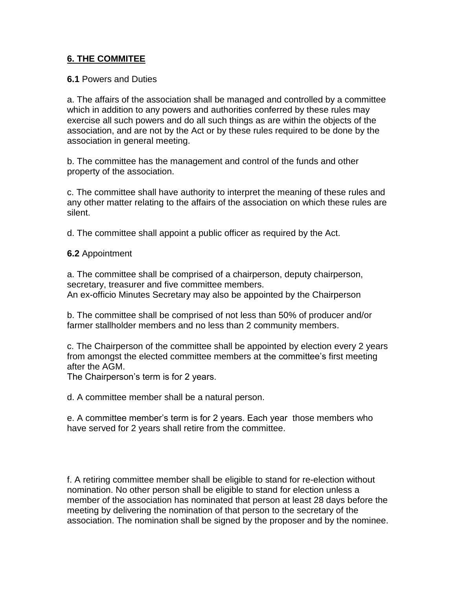#### **6. THE COMMITEE**

#### **6.1** Powers and Duties

a. The affairs of the association shall be managed and controlled by a committee which in addition to any powers and authorities conferred by these rules may exercise all such powers and do all such things as are within the objects of the association, and are not by the Act or by these rules required to be done by the association in general meeting.

b. The committee has the management and control of the funds and other property of the association.

c. The committee shall have authority to interpret the meaning of these rules and any other matter relating to the affairs of the association on which these rules are silent.

d. The committee shall appoint a public officer as required by the Act.

#### **6.2** Appointment

a. The committee shall be comprised of a chairperson, deputy chairperson, secretary, treasurer and five committee members. An ex-officio Minutes Secretary may also be appointed by the Chairperson

b. The committee shall be comprised of not less than 50% of producer and/or farmer stallholder members and no less than 2 community members.

c. The Chairperson of the committee shall be appointed by election every 2 years from amongst the elected committee members at the committee's first meeting after the AGM.

The Chairperson's term is for 2 years.

d. A committee member shall be a natural person.

e. A committee member's term is for 2 years. Each year those members who have served for 2 years shall retire from the committee.

f. A retiring committee member shall be eligible to stand for re-election without nomination. No other person shall be eligible to stand for election unless a member of the association has nominated that person at least 28 days before the meeting by delivering the nomination of that person to the secretary of the association. The nomination shall be signed by the proposer and by the nominee.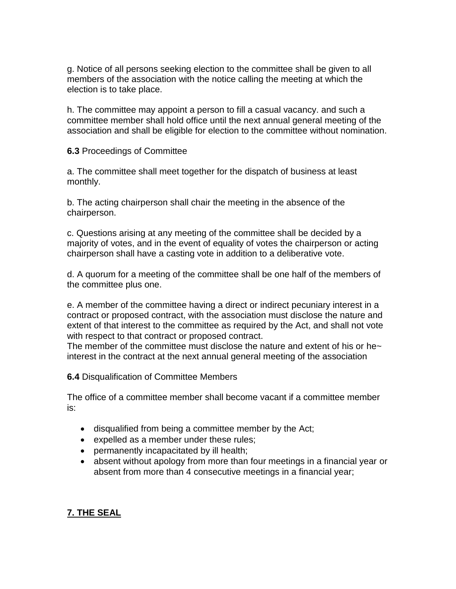g. Notice of all persons seeking election to the committee shall be given to all members of the association with the notice calling the meeting at which the election is to take place.

h. The committee may appoint a person to fill a casual vacancy. and such a committee member shall hold office until the next annual general meeting of the association and shall be eligible for election to the committee without nomination.

**6.3** Proceedings of Committee

a. The committee shall meet together for the dispatch of business at least monthly.

b. The acting chairperson shall chair the meeting in the absence of the chairperson.

c. Questions arising at any meeting of the committee shall be decided by a majority of votes, and in the event of equality of votes the chairperson or acting chairperson shall have a casting vote in addition to a deliberative vote.

d. A quorum for a meeting of the committee shall be one half of the members of the committee plus one.

e. A member of the committee having a direct or indirect pecuniary interest in a contract or proposed contract, with the association must disclose the nature and extent of that interest to the committee as required by the Act, and shall not vote with respect to that contract or proposed contract.

The member of the committee must disclose the nature and extent of his or he $\sim$ interest in the contract at the next annual general meeting of the association

**6.4** Disqualification of Committee Members

The office of a committee member shall become vacant if a committee member is:

- disqualified from being a committee member by the Act;
- expelled as a member under these rules;
- permanently incapacitated by ill health;
- absent without apology from more than four meetings in a financial year or absent from more than 4 consecutive meetings in a financial year;

#### **7. THE SEAL**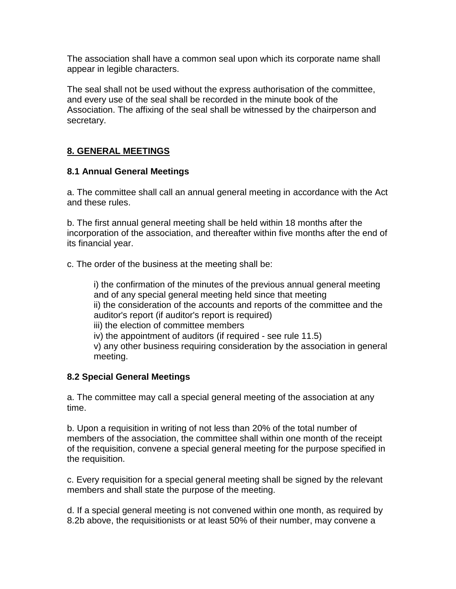The association shall have a common seal upon which its corporate name shall appear in legible characters.

The seal shall not be used without the express authorisation of the committee, and every use of the seal shall be recorded in the minute book of the Association. The affixing of the seal shall be witnessed by the chairperson and secretary.

## **8. GENERAL MEETINGS**

#### **8.1 Annual General Meetings**

a. The committee shall call an annual general meeting in accordance with the Act and these rules.

b. The first annual general meeting shall be held within 18 months after the incorporation of the association, and thereafter within five months after the end of its financial year.

c. The order of the business at the meeting shall be:

i) the confirmation of the minutes of the previous annual general meeting and of any special general meeting held since that meeting ii) the consideration of the accounts and reports of the committee and the auditor's report (if auditor's report is required) iii) the election of committee members iv) the appointment of auditors (if required - see rule 11.5) v) any other business requiring consideration by the association in general meeting.

## **8.2 Special General Meetings**

a. The committee may call a special general meeting of the association at any time.

b. Upon a requisition in writing of not less than 20% of the total number of members of the association, the committee shall within one month of the receipt of the requisition, convene a special general meeting for the purpose specified in the requisition.

c. Every requisition for a special general meeting shall be signed by the relevant members and shall state the purpose of the meeting.

d. If a special general meeting is not convened within one month, as required by 8.2b above, the requisitionists or at least 50% of their number, may convene a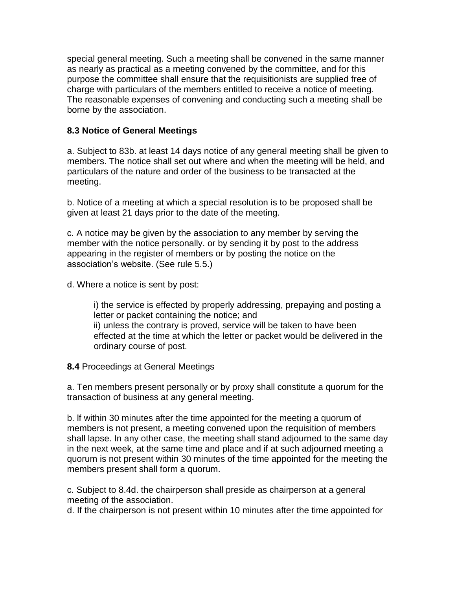special general meeting. Such a meeting shall be convened in the same manner as nearly as practical as a meeting convened by the committee, and for this purpose the committee shall ensure that the requisitionists are supplied free of charge with particulars of the members entitled to receive a notice of meeting. The reasonable expenses of convening and conducting such a meeting shall be borne by the association.

#### **8.3 Notice of General Meetings**

a. Subject to 83b. at least 14 days notice of any general meeting shall be given to members. The notice shall set out where and when the meeting will be held, and particulars of the nature and order of the business to be transacted at the meeting.

b. Notice of a meeting at which a special resolution is to be proposed shall be given at least 21 days prior to the date of the meeting.

c. A notice may be given by the association to any member by serving the member with the notice personally. or by sending it by post to the address appearing in the register of members or by posting the notice on the association's website. (See rule 5.5.)

d. Where a notice is sent by post:

i) the service is effected by properly addressing, prepaying and posting a letter or packet containing the notice; and ii) unless the contrary is proved, service will be taken to have been effected at the time at which the letter or packet would be delivered in the ordinary course of post.

**8.4** Proceedings at General Meetings

a. Ten members present personally or by proxy shall constitute a quorum for the transaction of business at any general meeting.

b. lf within 30 minutes after the time appointed for the meeting a quorum of members is not present, a meeting convened upon the requisition of members shall lapse. In any other case, the meeting shall stand adjourned to the same day in the next week, at the same time and place and if at such adjourned meeting a quorum is not present within 30 minutes of the time appointed for the meeting the members present shall form a quorum.

c. Subject to 8.4d. the chairperson shall preside as chairperson at a general meeting of the association.

d. If the chairperson is not present within 10 minutes after the time appointed for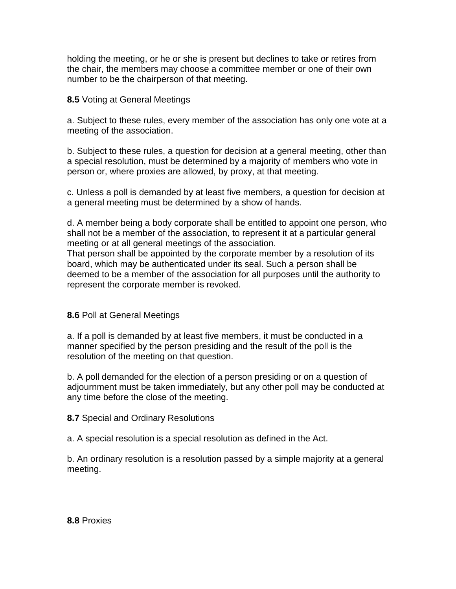holding the meeting, or he or she is present but declines to take or retires from the chair, the members may choose a committee member or one of their own number to be the chairperson of that meeting.

**8.5** Voting at General Meetings

a. Subject to these rules, every member of the association has only one vote at a meeting of the association.

b. Subject to these rules, a question for decision at a general meeting, other than a special resolution, must be determined by a majority of members who vote in person or, where proxies are allowed, by proxy, at that meeting.

c. Unless a poll is demanded by at least five members, a question for decision at a general meeting must be determined by a show of hands.

d. A member being a body corporate shall be entitled to appoint one person, who shall not be a member of the association, to represent it at a particular general meeting or at all general meetings of the association. That person shall be appointed by the corporate member by a resolution of its board, which may be authenticated under its seal. Such a person shall be deemed to be a member of the association for all purposes until the authority to represent the corporate member is revoked.

## **8.6** Poll at General Meetings

a. If a poll is demanded by at least five members, it must be conducted in a manner specified by the person presiding and the result of the poll is the resolution of the meeting on that question.

b. A poll demanded for the election of a person presiding or on a question of adjournment must be taken immediately, but any other poll may be conducted at any time before the close of the meeting.

## **8.7** Special and Ordinary Resolutions

a. A special resolution is a special resolution as defined in the Act.

b. An ordinary resolution is a resolution passed by a simple majority at a general meeting.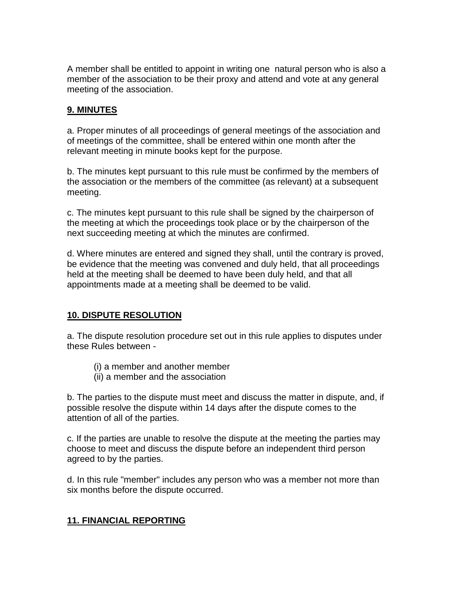A member shall be entitled to appoint in writing one natural person who is also a member of the association to be their proxy and attend and vote at any general meeting of the association.

## **9. MINUTES**

a. Proper minutes of all proceedings of general meetings of the association and of meetings of the committee, shall be entered within one month after the relevant meeting in minute books kept for the purpose.

b. The minutes kept pursuant to this rule must be confirmed by the members of the association or the members of the committee (as relevant) at a subsequent meeting.

c. The minutes kept pursuant to this rule shall be signed by the chairperson of the meeting at which the proceedings took place or by the chairperson of the next succeeding meeting at which the minutes are confirmed.

d. Where minutes are entered and signed they shall, until the contrary is proved, be evidence that the meeting was convened and duly held, that all proceedings held at the meeting shall be deemed to have been duly held, and that all appointments made at a meeting shall be deemed to be valid.

## **10. DISPUTE RESOLUTION**

a. The dispute resolution procedure set out in this rule applies to disputes under these Rules between -

- (i) a member and another member
- (ii) a member and the association

b. The parties to the dispute must meet and discuss the matter in dispute, and, if possible resolve the dispute within 14 days after the dispute comes to the attention of all of the parties.

c. If the parties are unable to resolve the dispute at the meeting the parties may choose to meet and discuss the dispute before an independent third person agreed to by the parties.

d. In this rule "member" includes any person who was a member not more than six months before the dispute occurred.

## **11. FINANCIAL REPORTING**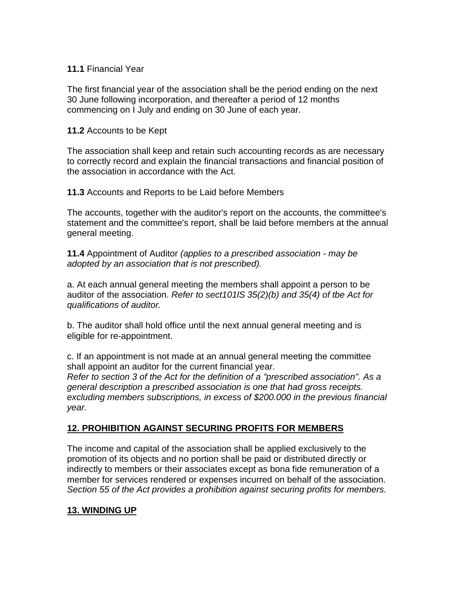#### **11.1** Financial Year

The first financial year of the association shall be the period ending on the next 30 June following incorporation, and thereafter a period of 12 months commencing on I July and ending on 30 June of each year.

#### **11.2** Accounts to be Kept

The association shall keep and retain such accounting records as are necessary to correctly record and explain the financial transactions and financial position of the association in accordance with the Act.

**11.3** Accounts and Reports to be Laid before Members

The accounts, together with the auditor's report on the accounts, the committee's statement and the committee's report, shall be laid before members at the annual general meeting.

**11.4** Appointment of Auditor *(applies to a prescribed association - may be adopted by an association that is not prescribed).*

a. At each annual general meeting the members shall appoint a person to be auditor of the association. *Refer to sect101lS 35(2)(b) and 35(4) of tbe Act for qualifications of auditor.*

b. The auditor shall hold office until the next annual general meeting and is eligible for re-appointment.

c. If an appointment is not made at an annual general meeting the committee shall appoint an auditor for the current financial year. *Refer to section 3 of the Act for the definition of a "prescribed association". As a general description a prescribed association is one that had gross receipts. excluding members subscriptions, in excess of \$200.000 in the previous financial year.*

## **12. PROHIBITION AGAINST SECURING PROFITS FOR MEMBERS**

The income and capital of the association shall be applied exclusively to the promotion of its objects and no portion shall be paid or distributed directly or indirectly to members or their associates except as bona fide remuneration of a member for services rendered or expenses incurred on behalf of the association. *Section 55 of the Act provides a prohibition against securing profits for members.*

## **13. WINDING UP**